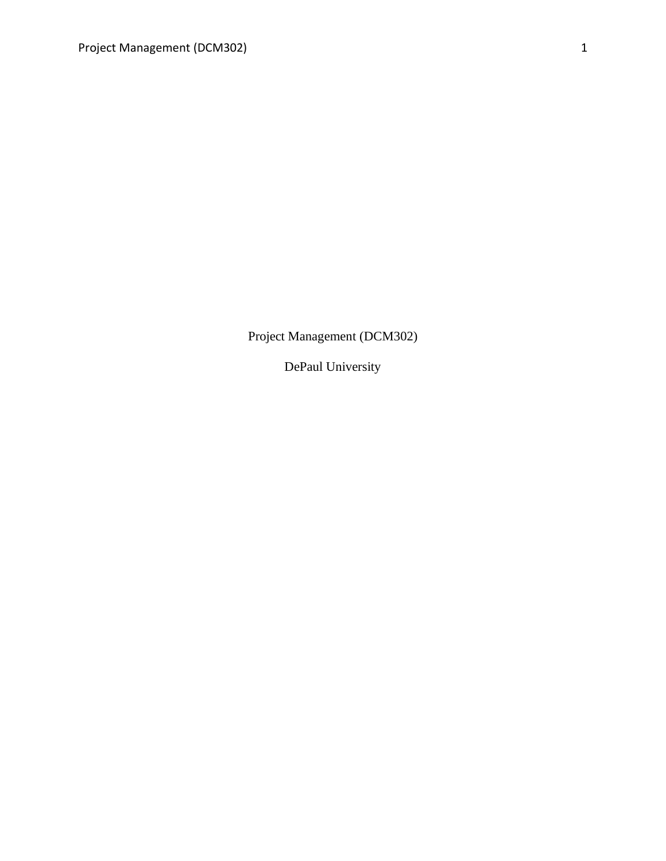Project Management (DCM302)

DePaul University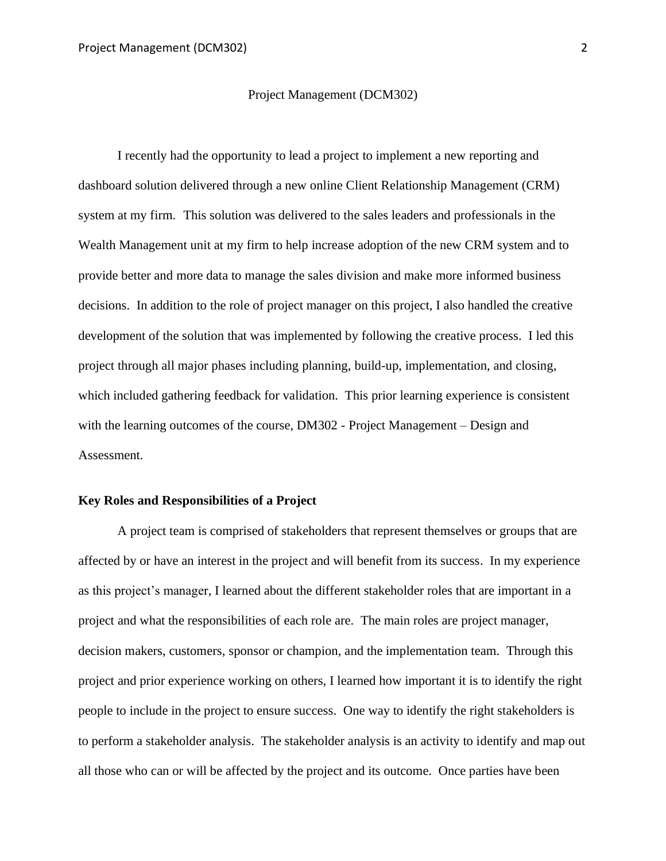#### Project Management (DCM302)

I recently had the opportunity to lead a project to implement a new reporting and dashboard solution delivered through a new online Client Relationship Management (CRM) system at my firm. This solution was delivered to the sales leaders and professionals in the Wealth Management unit at my firm to help increase adoption of the new CRM system and to provide better and more data to manage the sales division and make more informed business decisions. In addition to the role of project manager on this project, I also handled the creative development of the solution that was implemented by following the creative process. I led this project through all major phases including planning, build-up, implementation, and closing, which included gathering feedback for validation. This prior learning experience is consistent with the learning outcomes of the course, DM302 - Project Management – Design and Assessment.

## **Key Roles and Responsibilities of a Project**

A project team is comprised of stakeholders that represent themselves or groups that are affected by or have an interest in the project and will benefit from its success. In my experience as this project's manager, I learned about the different stakeholder roles that are important in a project and what the responsibilities of each role are. The main roles are project manager, decision makers, customers, sponsor or champion, and the implementation team. Through this project and prior experience working on others, I learned how important it is to identify the right people to include in the project to ensure success. One way to identify the right stakeholders is to perform a stakeholder analysis. The stakeholder analysis is an activity to identify and map out all those who can or will be affected by the project and its outcome. Once parties have been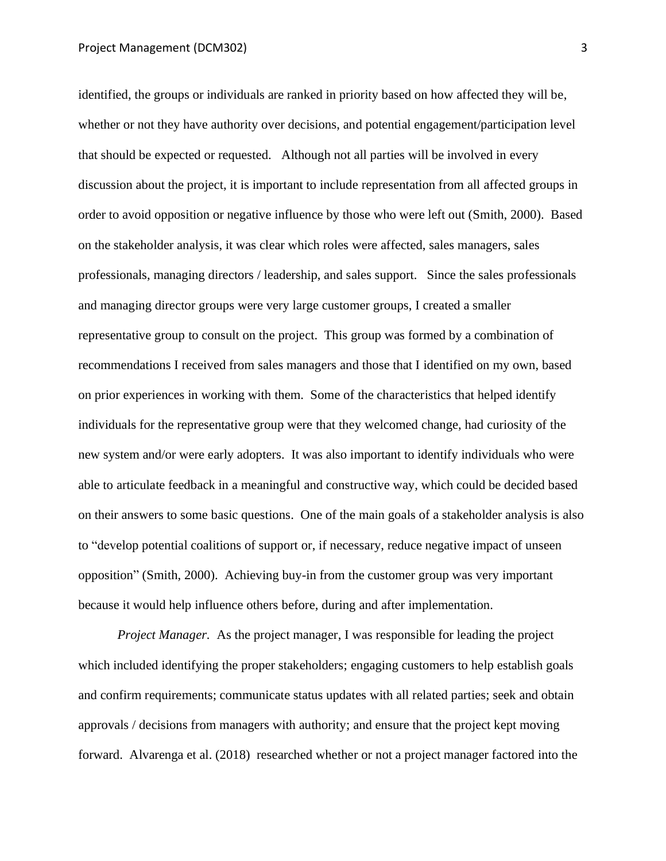identified, the groups or individuals are ranked in priority based on how affected they will be, whether or not they have authority over decisions, and potential engagement/participation level that should be expected or requested. Although not all parties will be involved in every discussion about the project, it is important to include representation from all affected groups in order to avoid opposition or negative influence by those who were left out (Smith, 2000). Based on the stakeholder analysis, it was clear which roles were affected, sales managers, sales professionals, managing directors / leadership, and sales support. Since the sales professionals and managing director groups were very large customer groups, I created a smaller representative group to consult on the project. This group was formed by a combination of recommendations I received from sales managers and those that I identified on my own, based on prior experiences in working with them. Some of the characteristics that helped identify individuals for the representative group were that they welcomed change, had curiosity of the new system and/or were early adopters. It was also important to identify individuals who were able to articulate feedback in a meaningful and constructive way, which could be decided based on their answers to some basic questions. One of the main goals of a stakeholder analysis is also to "develop potential coalitions of support or, if necessary, reduce negative impact of unseen opposition" (Smith, 2000). Achieving buy-in from the customer group was very important because it would help influence others before, during and after implementation.

*Project Manager.* As the project manager, I was responsible for leading the project which included identifying the proper stakeholders; engaging customers to help establish goals and confirm requirements; communicate status updates with all related parties; seek and obtain approvals / decisions from managers with authority; and ensure that the project kept moving forward. Alvarenga et al. (2018) researched whether or not a project manager factored into the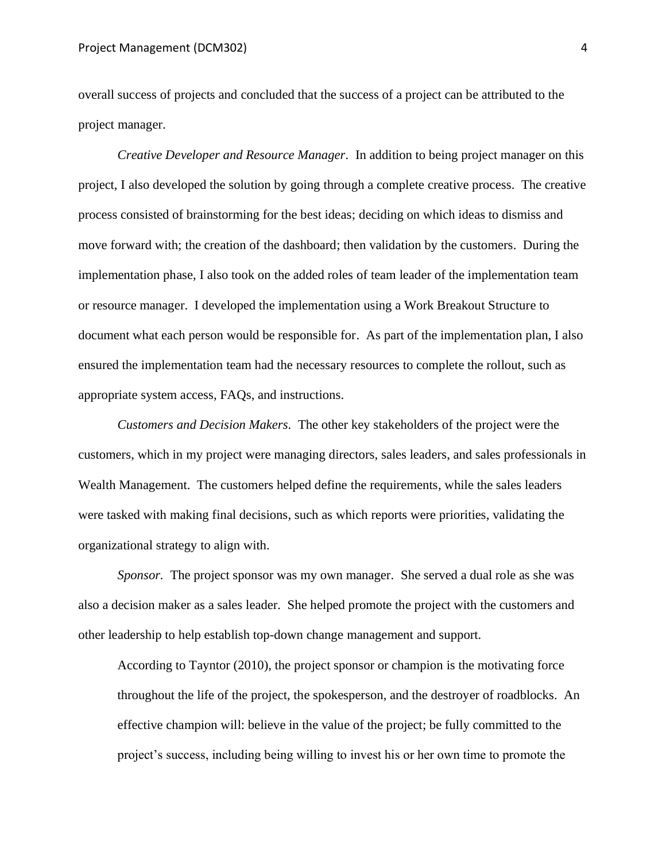overall success of projects and concluded that the success of a project can be attributed to the project manager.

*Creative Developer and Resource Manager.* In addition to being project manager on this project, I also developed the solution by going through a complete creative process. The creative process consisted of brainstorming for the best ideas; deciding on which ideas to dismiss and move forward with; the creation of the dashboard; then validation by the customers. During the implementation phase, I also took on the added roles of team leader of the implementation team or resource manager. I developed the implementation using a Work Breakout Structure to document what each person would be responsible for. As part of the implementation plan, I also ensured the implementation team had the necessary resources to complete the rollout, such as appropriate system access, FAQs, and instructions.

*Customers and Decision Makers.* The other key stakeholders of the project were the customers, which in my project were managing directors, sales leaders, and sales professionals in Wealth Management. The customers helped define the requirements, while the sales leaders were tasked with making final decisions, such as which reports were priorities, validating the organizational strategy to align with.

*Sponsor.* The project sponsor was my own manager. She served a dual role as she was also a decision maker as a sales leader. She helped promote the project with the customers and other leadership to help establish top-down change management and support.

According to Tayntor (2010), the project sponsor or champion is the motivating force throughout the life of the project, the spokesperson, and the destroyer of roadblocks. An effective champion will: believe in the value of the project; be fully committed to the project's success, including being willing to invest his or her own time to promote the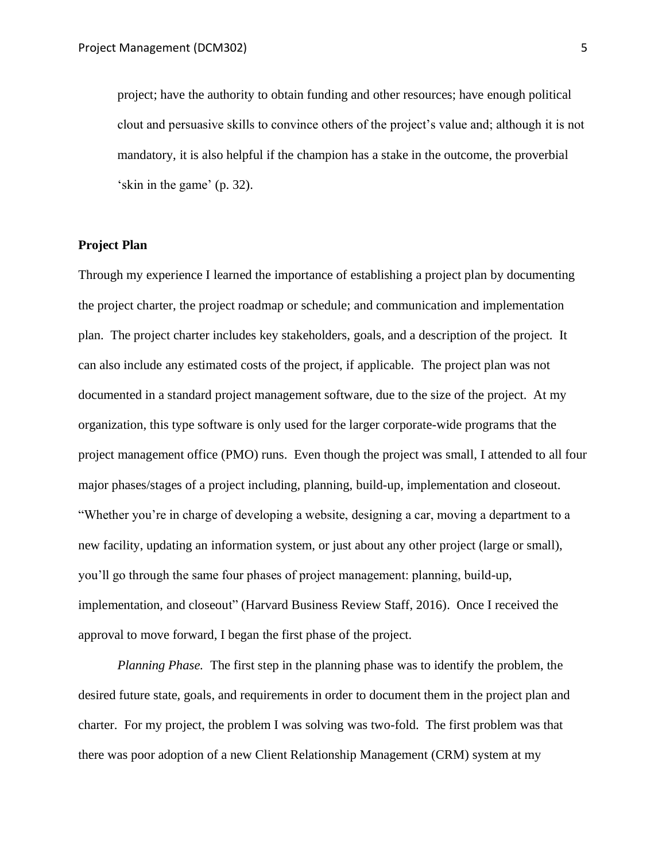project; have the authority to obtain funding and other resources; have enough political clout and persuasive skills to convince others of the project's value and; although it is not mandatory, it is also helpful if the champion has a stake in the outcome, the proverbial 'skin in the game' (p. 32).

# **Project Plan**

Through my experience I learned the importance of establishing a project plan by documenting the project charter, the project roadmap or schedule; and communication and implementation plan. The project charter includes key stakeholders, goals, and a description of the project. It can also include any estimated costs of the project, if applicable. The project plan was not documented in a standard project management software, due to the size of the project. At my organization, this type software is only used for the larger corporate-wide programs that the project management office (PMO) runs. Even though the project was small, I attended to all four major phases/stages of a project including, planning, build-up, implementation and closeout. "Whether you're in charge of developing a website, designing a car, moving a department to a new facility, updating an information system, or just about any other project (large or small), you'll go through the same four phases of project management: planning, build-up, implementation, and closeout" (Harvard Business Review Staff, 2016). Once I received the approval to move forward, I began the first phase of the project.

*Planning Phase.* The first step in the planning phase was to identify the problem, the desired future state, goals, and requirements in order to document them in the project plan and charter. For my project, the problem I was solving was two-fold. The first problem was that there was poor adoption of a new Client Relationship Management (CRM) system at my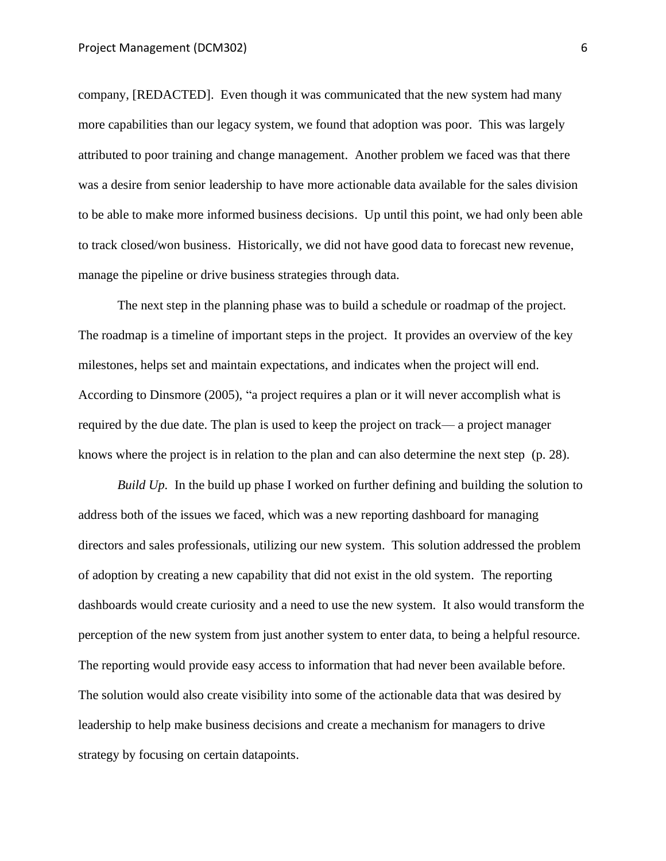company, [REDACTED]. Even though it was communicated that the new system had many more capabilities than our legacy system, we found that adoption was poor. This was largely attributed to poor training and change management. Another problem we faced was that there was a desire from senior leadership to have more actionable data available for the sales division to be able to make more informed business decisions. Up until this point, we had only been able to track closed/won business. Historically, we did not have good data to forecast new revenue, manage the pipeline or drive business strategies through data.

The next step in the planning phase was to build a schedule or roadmap of the project. The roadmap is a timeline of important steps in the project. It provides an overview of the key milestones, helps set and maintain expectations, and indicates when the project will end. According to Dinsmore (2005), "a project requires a plan or it will never accomplish what is required by the due date. The plan is used to keep the project on track— a project manager knows where the project is in relation to the plan and can also determine the next step (p. 28).

*Build Up.* In the build up phase I worked on further defining and building the solution to address both of the issues we faced, which was a new reporting dashboard for managing directors and sales professionals, utilizing our new system. This solution addressed the problem of adoption by creating a new capability that did not exist in the old system. The reporting dashboards would create curiosity and a need to use the new system. It also would transform the perception of the new system from just another system to enter data, to being a helpful resource. The reporting would provide easy access to information that had never been available before. The solution would also create visibility into some of the actionable data that was desired by leadership to help make business decisions and create a mechanism for managers to drive strategy by focusing on certain datapoints.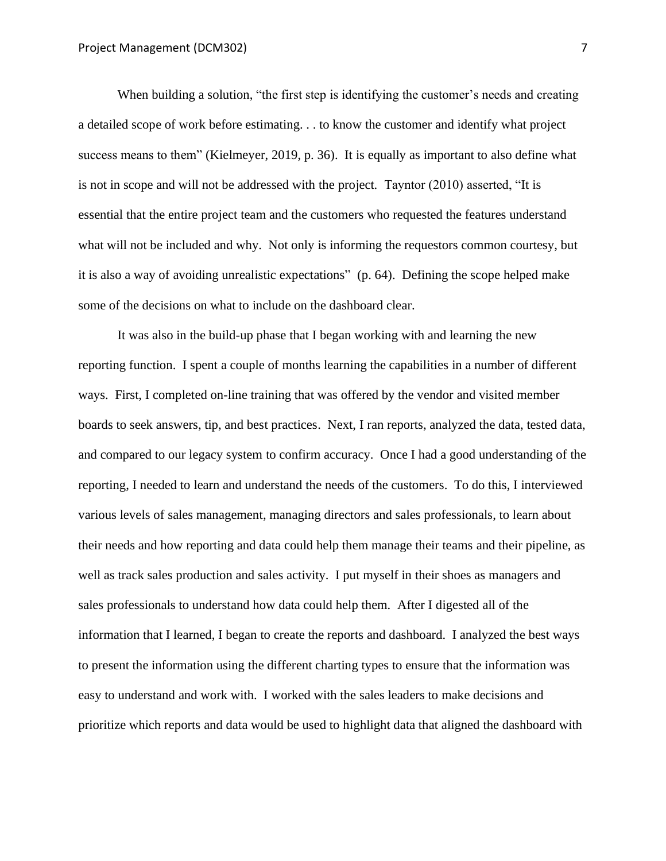When building a solution, "the first step is identifying the customer's needs and creating a detailed scope of work before estimating. . . to know the customer and identify what project success means to them" (Kielmeyer, 2019, p. 36). It is equally as important to also define what is not in scope and will not be addressed with the project. Tayntor (2010) asserted, "It is essential that the entire project team and the customers who requested the features understand what will not be included and why. Not only is informing the requestors common courtesy, but it is also a way of avoiding unrealistic expectations" (p. 64). Defining the scope helped make some of the decisions on what to include on the dashboard clear.

It was also in the build-up phase that I began working with and learning the new reporting function. I spent a couple of months learning the capabilities in a number of different ways. First, I completed on-line training that was offered by the vendor and visited member boards to seek answers, tip, and best practices. Next, I ran reports, analyzed the data, tested data, and compared to our legacy system to confirm accuracy. Once I had a good understanding of the reporting, I needed to learn and understand the needs of the customers. To do this, I interviewed various levels of sales management, managing directors and sales professionals, to learn about their needs and how reporting and data could help them manage their teams and their pipeline, as well as track sales production and sales activity. I put myself in their shoes as managers and sales professionals to understand how data could help them. After I digested all of the information that I learned, I began to create the reports and dashboard. I analyzed the best ways to present the information using the different charting types to ensure that the information was easy to understand and work with. I worked with the sales leaders to make decisions and prioritize which reports and data would be used to highlight data that aligned the dashboard with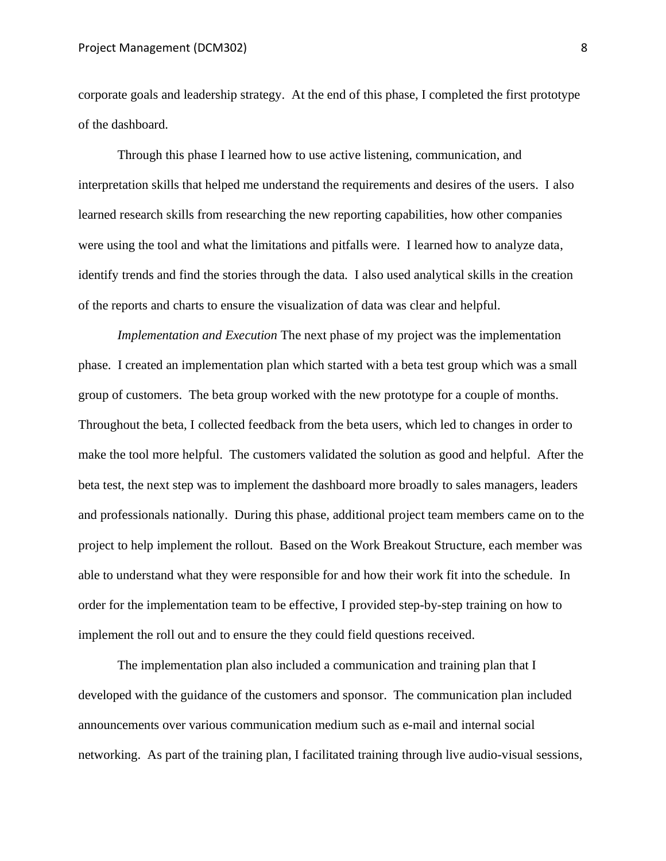corporate goals and leadership strategy. At the end of this phase, I completed the first prototype of the dashboard.

Through this phase I learned how to use active listening, communication, and interpretation skills that helped me understand the requirements and desires of the users. I also learned research skills from researching the new reporting capabilities, how other companies were using the tool and what the limitations and pitfalls were. I learned how to analyze data, identify trends and find the stories through the data. I also used analytical skills in the creation of the reports and charts to ensure the visualization of data was clear and helpful.

*Implementation and Execution* The next phase of my project was the implementation phase. I created an implementation plan which started with a beta test group which was a small group of customers. The beta group worked with the new prototype for a couple of months. Throughout the beta, I collected feedback from the beta users, which led to changes in order to make the tool more helpful. The customers validated the solution as good and helpful. After the beta test, the next step was to implement the dashboard more broadly to sales managers, leaders and professionals nationally. During this phase, additional project team members came on to the project to help implement the rollout. Based on the Work Breakout Structure, each member was able to understand what they were responsible for and how their work fit into the schedule. In order for the implementation team to be effective, I provided step-by-step training on how to implement the roll out and to ensure the they could field questions received.

The implementation plan also included a communication and training plan that I developed with the guidance of the customers and sponsor. The communication plan included announcements over various communication medium such as e-mail and internal social networking. As part of the training plan, I facilitated training through live audio-visual sessions,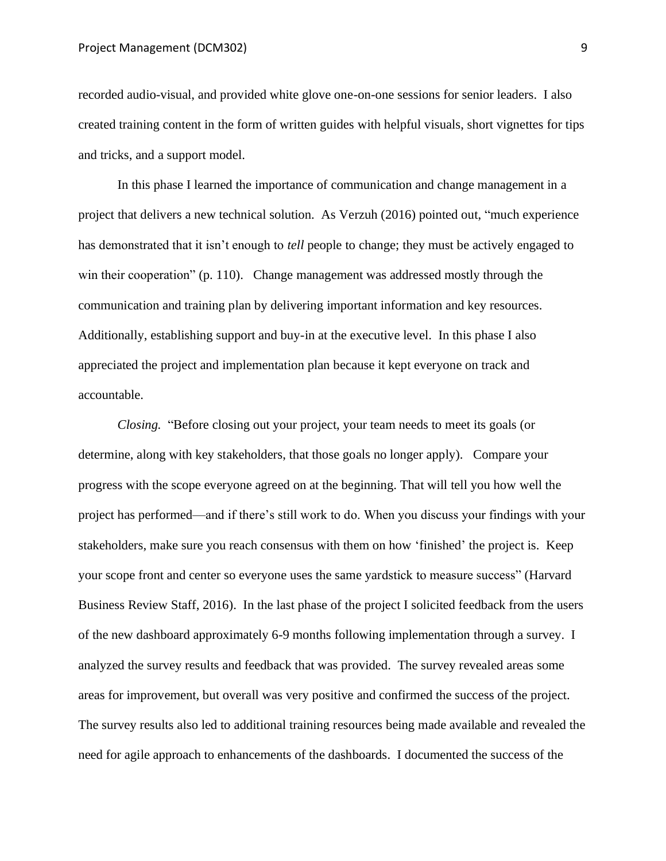recorded audio-visual, and provided white glove one-on-one sessions for senior leaders. I also created training content in the form of written guides with helpful visuals, short vignettes for tips and tricks, and a support model.

In this phase I learned the importance of communication and change management in a project that delivers a new technical solution. As Verzuh (2016) pointed out, "much experience has demonstrated that it isn't enough to *tell* people to change; they must be actively engaged to win their cooperation" (p. 110). Change management was addressed mostly through the communication and training plan by delivering important information and key resources. Additionally, establishing support and buy-in at the executive level. In this phase I also appreciated the project and implementation plan because it kept everyone on track and accountable.

*Closing.* "Before closing out your project, your team needs to meet its goals (or determine, along with key stakeholders, that those goals no longer apply). Compare your progress with the scope everyone agreed on at the beginning. That will tell you how well the project has performed—and if there's still work to do. When you discuss your findings with your stakeholders, make sure you reach consensus with them on how 'finished' the project is. Keep your scope front and center so everyone uses the same yardstick to measure success" (Harvard Business Review Staff, 2016). In the last phase of the project I solicited feedback from the users of the new dashboard approximately 6-9 months following implementation through a survey. I analyzed the survey results and feedback that was provided. The survey revealed areas some areas for improvement, but overall was very positive and confirmed the success of the project. The survey results also led to additional training resources being made available and revealed the need for agile approach to enhancements of the dashboards. I documented the success of the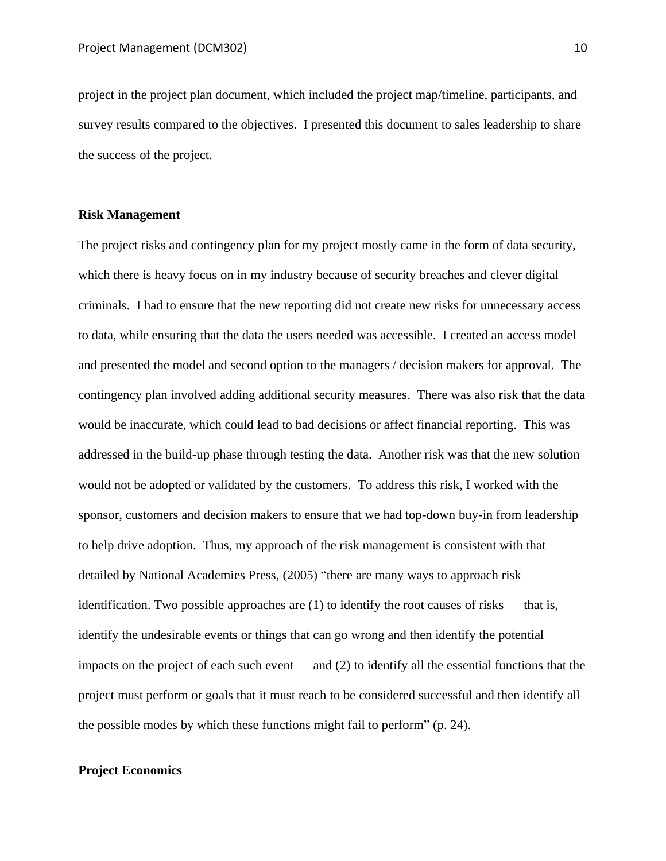project in the project plan document, which included the project map/timeline, participants, and survey results compared to the objectives. I presented this document to sales leadership to share the success of the project.

## **Risk Management**

The project risks and contingency plan for my project mostly came in the form of data security, which there is heavy focus on in my industry because of security breaches and clever digital criminals. I had to ensure that the new reporting did not create new risks for unnecessary access to data, while ensuring that the data the users needed was accessible. I created an access model and presented the model and second option to the managers / decision makers for approval. The contingency plan involved adding additional security measures. There was also risk that the data would be inaccurate, which could lead to bad decisions or affect financial reporting. This was addressed in the build-up phase through testing the data. Another risk was that the new solution would not be adopted or validated by the customers. To address this risk, I worked with the sponsor, customers and decision makers to ensure that we had top-down buy-in from leadership to help drive adoption. Thus, my approach of the risk management is consistent with that detailed by National Academies Press, (2005) "there are many ways to approach risk identification. Two possible approaches are  $(1)$  to identify the root causes of risks — that is, identify the undesirable events or things that can go wrong and then identify the potential impacts on the project of each such event — and (2) to identify all the essential functions that the project must perform or goals that it must reach to be considered successful and then identify all the possible modes by which these functions might fail to perform" (p. 24).

## **Project Economics**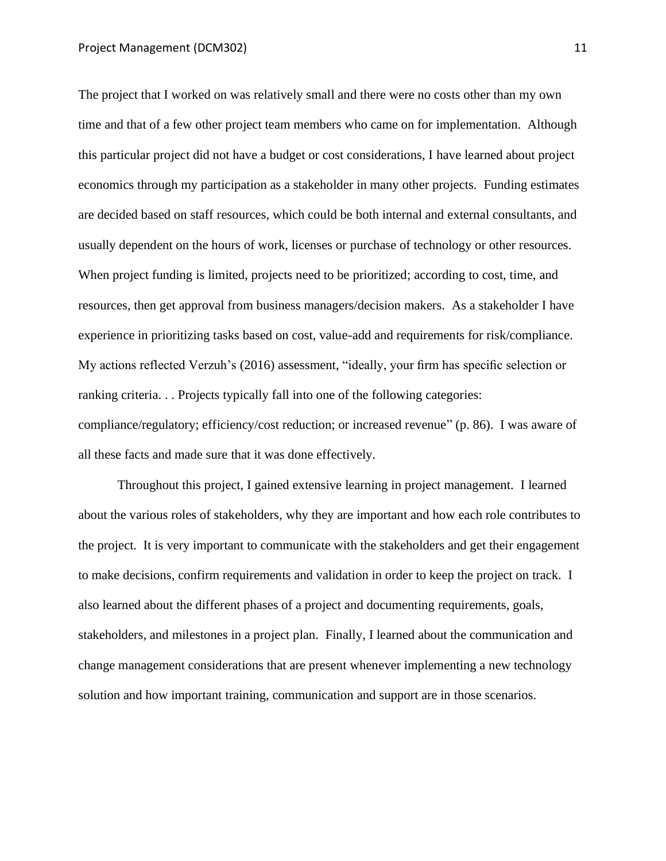The project that I worked on was relatively small and there were no costs other than my own time and that of a few other project team members who came on for implementation. Although this particular project did not have a budget or cost considerations, I have learned about project economics through my participation as a stakeholder in many other projects. Funding estimates are decided based on staff resources, which could be both internal and external consultants, and usually dependent on the hours of work, licenses or purchase of technology or other resources. When project funding is limited, projects need to be prioritized; according to cost, time, and resources, then get approval from business managers/decision makers. As a stakeholder I have experience in prioritizing tasks based on cost, value-add and requirements for risk/compliance. My actions reflected Verzuh's (2016) assessment, "ideally, your firm has specific selection or ranking criteria. . . Projects typically fall into one of the following categories: compliance/regulatory; efficiency/cost reduction; or increased revenue" (p. 86). I was aware of all these facts and made sure that it was done effectively.

Throughout this project, I gained extensive learning in project management. I learned about the various roles of stakeholders, why they are important and how each role contributes to the project. It is very important to communicate with the stakeholders and get their engagement to make decisions, confirm requirements and validation in order to keep the project on track. I also learned about the different phases of a project and documenting requirements, goals, stakeholders, and milestones in a project plan. Finally, I learned about the communication and change management considerations that are present whenever implementing a new technology solution and how important training, communication and support are in those scenarios.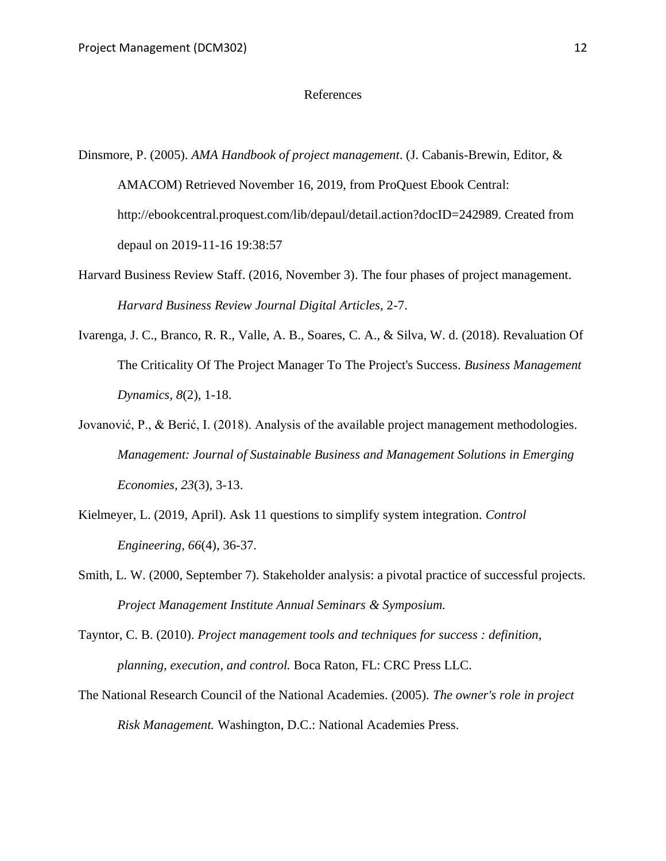#### References

- Dinsmore, P. (2005). *AMA Handbook of project management*. (J. Cabanis-Brewin, Editor, & AMACOM) Retrieved November 16, 2019, from ProQuest Ebook Central: http://ebookcentral.proquest.com/lib/depaul/detail.action?docID=242989. Created from depaul on 2019-11-16 19:38:57
- Harvard Business Review Staff. (2016, November 3). The four phases of project management. *Harvard Business Review Journal Digital Articles*, 2-7.
- Ivarenga, J. C., Branco, R. R., Valle, A. B., Soares, C. A., & Silva, W. d. (2018). Revaluation Of The Criticality Of The Project Manager To The Project's Success. *Business Management Dynamics, 8*(2), 1-18.
- Jovanović, P., & Berić, I. (2018). Analysis of the available project management methodologies. *Management: Journal of Sustainable Business and Management Solutions in Emerging Economies, 23*(3), 3-13.
- Kielmeyer, L. (2019, April). Ask 11 questions to simplify system integration. *Control Engineering, 66*(4), 36-37.
- Smith, L. W. (2000, September 7). Stakeholder analysis: a pivotal practice of successful projects. *Project Management Institute Annual Seminars & Symposium.*
- Tayntor, C. B. (2010). *Project management tools and techniques for success : definition, planning, execution, and control.* Boca Raton, FL: CRC Press LLC.
- The National Research Council of the National Academies. (2005). *The owner's role in project Risk Management.* Washington, D.C.: National Academies Press.